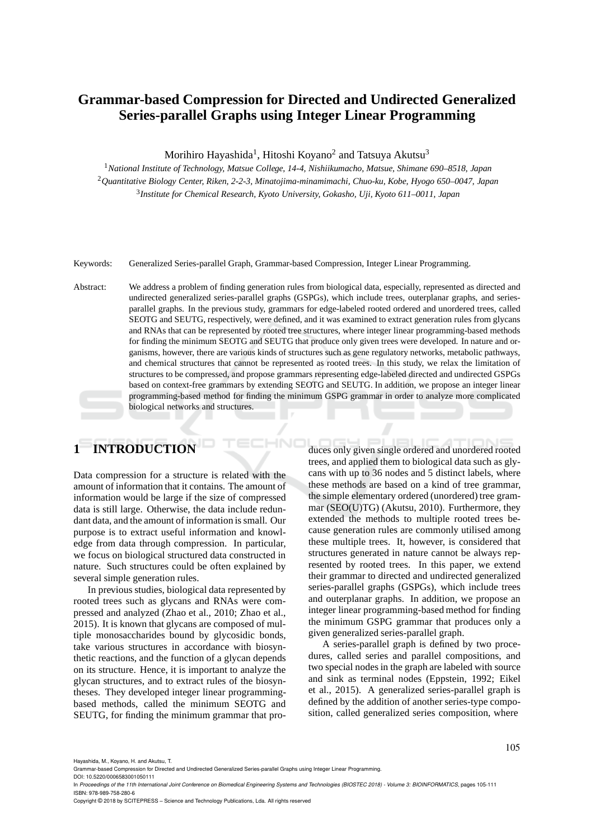# **Grammar-based Compression for Directed and Undirected Generalized Series-parallel Graphs using Integer Linear Programming**

Morihiro Hayashida<sup>1</sup>, Hitoshi Koyano<sup>2</sup> and Tatsuya Akutsu<sup>3</sup>

<sup>1</sup>*National Institute of Technology, Matsue College, 14-4, Nishiikumacho, Matsue, Shimane 690–8518, Japan* <sup>2</sup>*Quantitative Biology Center, Riken, 2-2-3, Minatojima-minamimachi, Chuo-ku, Kobe, Hyogo 650–0047, Japan* 3 *Institute for Chemical Research, Kyoto University, Gokasho, Uji, Kyoto 611–0011, Japan*

Keywords: Generalized Series-parallel Graph, Grammar-based Compression, Integer Linear Programming.

Abstract: We address a problem of finding generation rules from biological data, especially, represented as directed and undirected generalized series-parallel graphs (GSPGs), which include trees, outerplanar graphs, and seriesparallel graphs. In the previous study, grammars for edge-labeled rooted ordered and unordered trees, called SEOTG and SEUTG, respectively, were defined, and it was examined to extract generation rules from glycans and RNAs that can be represented by rooted tree structures, where integer linear programming-based methods for finding the minimum SEOTG and SEUTG that produce only given trees were developed. In nature and organisms, however, there are various kinds of structures such as gene regulatory networks, metabolic pathways, and chemical structures that cannot be represented as rooted trees. In this study, we relax the limitation of structures to be compressed, and propose grammars representing edge-labeled directed and undirected GSPGs based on context-free grammars by extending SEOTG and SEUTG. In addition, we propose an integer linear programming-based method for finding the minimum GSPG grammar in order to analyze more complicated biological networks and structures.

# **1 INTRODUCTION**

Data compression for a structure is related with the amount of information that it contains. The amount of information would be large if the size of compressed data is still large. Otherwise, the data include redundant data, and the amount of information is small. Our purpose is to extract useful information and knowledge from data through compression. In particular, we focus on biological structured data constructed in nature. Such structures could be often explained by several simple generation rules.

In previous studies, biological data represented by rooted trees such as glycans and RNAs were compressed and analyzed (Zhao et al., 2010; Zhao et al., 2015). It is known that glycans are composed of multiple monosaccharides bound by glycosidic bonds, take various structures in accordance with biosynthetic reactions, and the function of a glycan depends on its structure. Hence, it is important to analyze the glycan structures, and to extract rules of the biosyntheses. They developed integer linear programmingbased methods, called the minimum SEOTG and SEUTG, for finding the minimum grammar that produces only given single ordered and unordered rooted trees, and applied them to biological data such as glycans with up to 36 nodes and 5 distinct labels, where these methods are based on a kind of tree grammar, the simple elementary ordered (unordered) tree grammar (SEO(U)TG) (Akutsu, 2010). Furthermore, they extended the methods to multiple rooted trees because generation rules are commonly utilised among these multiple trees. It, however, is considered that structures generated in nature cannot be always represented by rooted trees. In this paper, we extend their grammar to directed and undirected generalized series-parallel graphs (GSPGs), which include trees and outerplanar graphs. In addition, we propose an integer linear programming-based method for finding the minimum GSPG grammar that produces only a given generalized series-parallel graph.

A series-parallel graph is defined by two procedures, called series and parallel compositions, and two special nodes in the graph are labeled with source and sink as terminal nodes (Eppstein, 1992; Eikel et al., 2015). A generalized series-parallel graph is defined by the addition of another series-type composition, called generalized series composition, where

Hayashida, M., Koyano, H. and Akutsu, T.

Grammar-based Compression for Directed and Undirected Generalized Series-parallel Graphs using Integer Linear Programming. DOI: 10.5220/0006583001050111

In Proceedings of the 11th International Joint Conference on Biomedical Engineering Systems and Technologies (BIOSTEC 2018) - Volume 3: BIOINFORMATICS, pages 105-111 ISBN: 978-989-758-280-6

Copyright © 2018 by SCITEPRESS – Science and Technology Publications, Lda. All rights reserved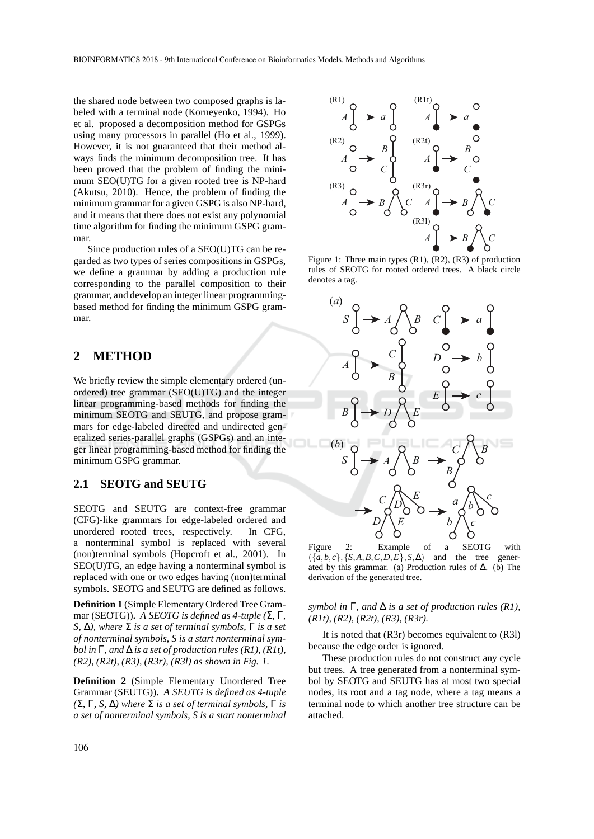the shared node between two composed graphs is labeled with a terminal node (Korneyenko, 1994). Ho et al. proposed a decomposition method for GSPGs using many processors in parallel (Ho et al., 1999). However, it is not guaranteed that their method always finds the minimum decomposition tree. It has been proved that the problem of finding the minimum SEO(U)TG for a given rooted tree is NP-hard (Akutsu, 2010). Hence, the problem of finding the minimum grammar for a given GSPG is also NP-hard, and it means that there does not exist any polynomial time algorithm for finding the minimum GSPG grammar.

Since production rules of a SEO(U)TG can be regarded as two types of series compositions in GSPGs, we define a grammar by adding a production rule corresponding to the parallel composition to their grammar, and develop an integer linear programmingbased method for finding the minimum GSPG grammar.

### **2 METHOD**

We briefly review the simple elementary ordered (unordered) tree grammar (SEO(U)TG) and the integer linear programming-based methods for finding the minimum SEOTG and SEUTG, and propose grammars for edge-labeled directed and undirected generalized series-parallel graphs (GSPGs) and an integer linear programming-based method for finding the minimum GSPG grammar.

### **2.1 SEOTG and SEUTG**

SEOTG and SEUTG are context-free grammar (CFG)-like grammars for edge-labeled ordered and unordered rooted trees, respectively. In CFG, a nonterminal symbol is replaced with several (non)terminal symbols (Hopcroft et al., 2001). In SEO(U)TG, an edge having a nonterminal symbol is replaced with one or two edges having (non)terminal symbols. SEOTG and SEUTG are defined as follows.

**Definition 1** (Simple Elementary Ordered Tree Grammar (SEOTG))**.** *A SEOTG is defined as 4-tuple (*Σ*,* Γ*, S,* ∆*), where* Σ *is a set of terminal symbols,* Γ *is a set of nonterminal symbols, S is a start nonterminal symbol in* Γ*, and* ∆ *is a set of production rules (R1), (R1t), (R2), (R2t), (R3), (R3r), (R3l) as shown in Fig. 1.*

**Definition 2** (Simple Elementary Unordered Tree Grammar (SEUTG))**.** *A SEUTG is defined as 4-tuple (*Σ*,* Γ*, S,* ∆*) where* Σ *is a set of terminal symbols,* Γ *is a set of nonterminal symbols, S is a start nonterminal*





Figure 1: Three main types (R1), (R2), (R3) of production rules of SEOTG for rooted ordered trees. A black circle denotes a tag.



Figure 2: Example of a SEOTG with  $({a,b,c}, {S,A,B,C,D,E}, S,\Delta)$  and the tree generated by this grammar. (a) Production rules of ∆. (b) The derivation of the generated tree.

#### *symbol in* Γ*, and* ∆ *is a set of production rules (R1), (R1t), (R2), (R2t), (R3), (R3r).*

It is noted that (R3r) becomes equivalent to (R3l) because the edge order is ignored.

These production rules do not construct any cycle but trees. A tree generated from a nonterminal symbol by SEOTG and SEUTG has at most two special nodes, its root and a tag node, where a tag means a terminal node to which another tree structure can be attached.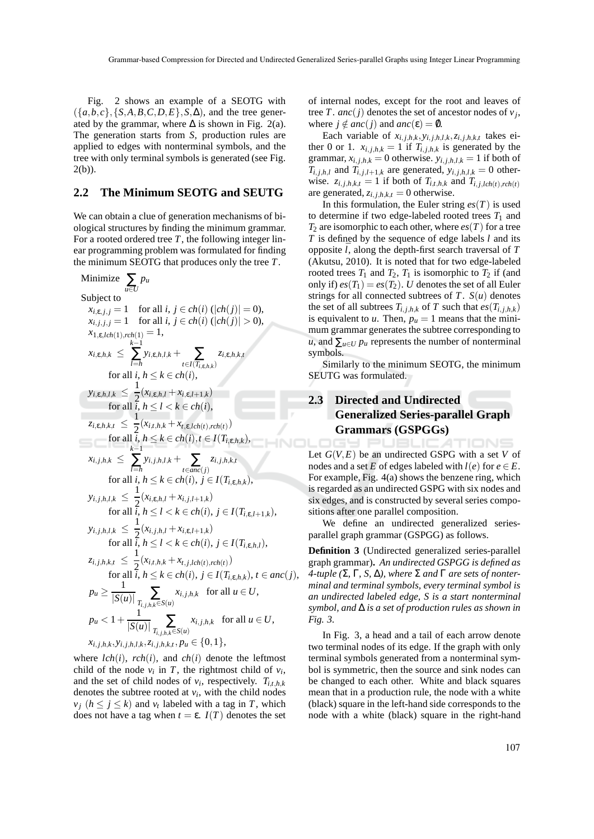Fig. 2 shows an example of a SEOTG with  $({a,b,c}, {S,A,B,C,D,E}, S, \Delta)$ , and the tree generated by the grammar, where  $\Delta$  is shown in Fig. 2(a). The generation starts from *S*, production rules are applied to edges with nonterminal symbols, and the tree with only terminal symbols is generated (see Fig.  $2(b)$ ).

#### **2.2 The Minimum SEOTG and SEUTG**

We can obtain a clue of generation mechanisms of biological structures by finding the minimum grammar. For a rooted ordered tree *T*, the following integer linear programming problem was formulated for finding the minimum SEOTG that produces only the tree *T*.

Minimize 
$$
\sum_{u \in U} p_u
$$
  
\nSubject to  
\n $x_{i, e, j, j} = 1$  for all  $i, j \in ch(i) (|ch(j)| = 0)$ ,  
\n $x_{i, j, j, j} = 1$  for all  $i, j \in ch(i) (|ch(j)| > 0)$ ,  
\n $x_{1, e, ch(1), rch(1)} = 1$ ,  
\n $x_{i, e, h, k} \le \sum_{i=h} y_{i, e, h, l, k} + \sum_{t \in I(T_{i, e, h, k})} z_{i, e, h, k, t}$   
\nfor all  $i, h \le k \in ch(i)$ ,  
\n $y_{i, e, h, l, k} \le \frac{1}{2} (x_{i, e, h, l} + x_{i, e, l+1, k})$   
\nfor all  $i, h \le l < k \in ch(i)$ ,  
\n $z_{i, e, h, k, t} \le \frac{1}{2} (x_{i, t, h, k} + x_{t, e, lch(t), rch(t)})$   
\nfor all  $i, h \le k \in ch(i), t \in I(T_{i, e, h, k})$ ,  
\n $x_{i, j, h, k} \le \sum_{l=h} y_{i, j, h, l, k} + \sum_{t \in anc(j)} z_{i, j, h, k, t}$   
\nfor all  $i, h \le k \in ch(i), j \in I(T_{i, e, h, k})$ ,  
\n $y_{i, j, h, l, k} \le \frac{1}{2} (x_{i, e, h, l} + x_{i, j, l+1, k})$   
\nfor all  $i, h \le l < k \in ch(i), j \in I(T_{i, e, h, l})$ ,  
\n $y_{i, j, h, l, k} \le \frac{1}{2} (x_{i, j, h, l} + x_{i, e, l+1, k})$   
\nfor all  $i, h \le l < k \in ch(i), j \in I(T_{i, e, h, l})$ ,  
\n $z_{i, j, h, k, t} \le \frac{1}{2} (x_{i, j, h, l} + x_{i, j, lch(t), rch(t)})$   
\nfor all  $i, h \le k \in ch(i), j \in I(T_{i, e, h, k})$ , <

where  $lch(i)$ ,  $rch(i)$ , and  $ch(i)$  denote the leftmost child of the node  $v_i$  in *T*, the rightmost child of  $v_i$ , and the set of child nodes of  $v_i$ , respectively.  $T_{i,t,h,k}$ denotes the subtree rooted at  $v_i$ , with the child nodes  $v_j$  ( $h \leq j \leq k$ ) and  $v_t$  labeled with a tag in *T*, which does not have a tag when  $t = ε$ .  $I(T)$  denotes the set of internal nodes, except for the root and leaves of tree *T*. *anc*(*j*) denotes the set of ancestor nodes of  $v_j$ , where  $j \notin anc(j)$  and  $anc(\varepsilon) = \emptyset$ .

Each variable of  $x_{i,j,h,k}, y_{i,j,h,l,k}, z_{i,j,h,k,t}$  takes either 0 or 1.  $x_{i,j,h,k} = 1$  if  $T_{i,j,h,k}$  is generated by the grammar,  $x_{i,j,h,k} = 0$  otherwise.  $y_{i,j,h,l,k} = 1$  if both of  $T_{i,j,h,l}$  and  $T_{i,j,l+1,k}$  are generated,  $y_{i,j,h,l,k} = 0$  otherwise.  $z_{i,j,h,k,t} = 1$  if both of  $T_{i,t,h,k}$  and  $T_{i,j,lch(t),rch(t)}$ are generated,  $z_{i,j,h,k,t} = 0$  otherwise.

In this formulation, the Euler string  $es(T)$  is used to determine if two edge-labeled rooted trees  $T_1$  and  $T_2$  are isomorphic to each other, where  $es(T)$  for a tree *T* is defined by the sequence of edge labels *l* and its opposite  $\overline{l}$ , along the depth-first search traversal of  $T$ (Akutsu, 2010). It is noted that for two edge-labeled rooted trees  $T_1$  and  $T_2$ ,  $T_1$  is isomorphic to  $T_2$  if (and only if)  $es(T_1) = es(T_2)$ . *U* denotes the set of all Euler strings for all connected subtrees of *T*. *S*(*u*) denotes the set of all subtrees  $T_{i,j,h,k}$  of  $T$  such that  $es(T_{i,j,h,k})$ is equivalent to *u*. Then,  $p_u = 1$  means that the minimum grammar generates the subtree corresponding to *u*, and  $\sum_{u \in U} p_u$  represents the number of nonterminal symbols.

Similarly to the minimum SEOTG, the minimum SEUTG was formulated.

# **2.3 Directed and Undirected Generalized Series-parallel Graph Grammars (GSPGGs)**

ATIONS Let  $G(V, E)$  be an undirected GSPG with a set V of nodes and a set *E* of edges labeled with  $l(e)$  for  $e \in E$ . For example, Fig. 4(a) shows the benzene ring, which is regarded as an undirected GSPG with six nodes and six edges, and is constructed by several series compositions after one parallel composition.

We define an undirected generalized seriesparallel graph grammar (GSPGG) as follows.

**Definition 3** (Undirected generalized series-parallel graph grammar)**.** *An undirected GSPGG is defined as 4-tuple (*Σ*,* Γ*, S,* ∆*), where* Σ *and* Γ *are sets of nonterminal and terminal symbols, every terminal symbol is an undirected labeled edge, S is a start nonterminal symbol, and* ∆ *is a set of production rules as shown in Fig. 3.*

In Fig. 3, a head and a tail of each arrow denote two terminal nodes of its edge. If the graph with only terminal symbols generated from a nonterminal symbol is symmetric, then the source and sink nodes can be changed to each other. White and black squares mean that in a production rule, the node with a white (black) square in the left-hand side corresponds to the node with a white (black) square in the right-hand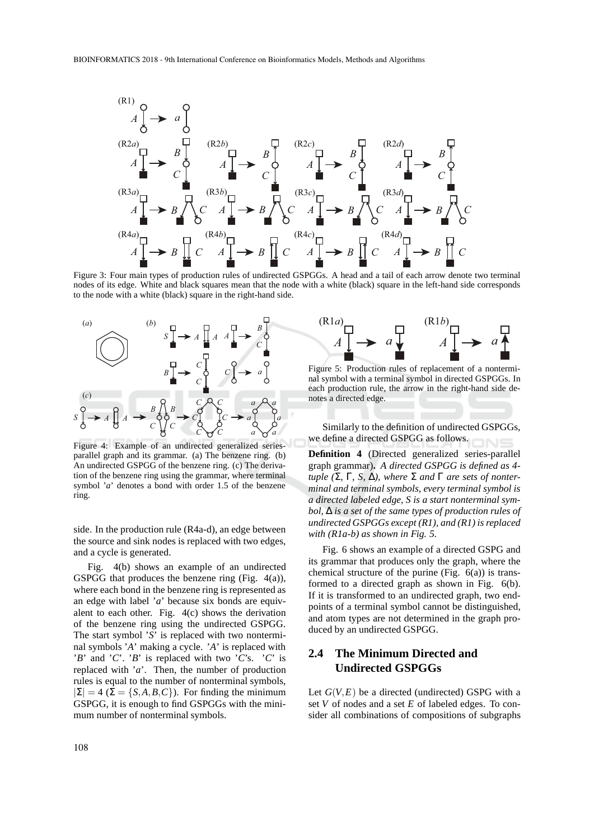

Figure 3: Four main types of production rules of undirected GSPGGs. A head and a tail of each arrow denote two terminal nodes of its edge. White and black squares mean that the node with a white (black) square in the left-hand side corresponds to the node with a white (black) square in the right-hand side.



Figure 4: Example of an undirected generalized seriesparallel graph and its grammar. (a) The benzene ring. (b) An undirected GSPGG of the benzene ring. (c) The derivation of the benzene ring using the grammar, where terminal symbol '*a*' denotes a bond with order 1.5 of the benzene ring.

side. In the production rule (R4a-d), an edge between the source and sink nodes is replaced with two edges, and a cycle is generated.

Fig. 4(b) shows an example of an undirected GSPGG that produces the benzene ring (Fig. 4(a)), where each bond in the benzene ring is represented as an edge with label '*a*' because six bonds are equivalent to each other. Fig. 4(c) shows the derivation of the benzene ring using the undirected GSPGG. The start symbol '*S*' is replaced with two nonterminal symbols '*A*' making a cycle. '*A*' is replaced with '*B*' and '*C*'. '*B*' is replaced with two '*C*'s. '*C*' is replaced with '*a*'. Then, the number of production rules is equal to the number of nonterminal symbols,  $|\Sigma| = 4$  ( $\Sigma = \{S, A, B, C\}$ ). For finding the minimum GSPGG, it is enough to find GSPGGs with the minimum number of nonterminal symbols.



Figure 5: Production rules of replacement of a nonterminal symbol with a terminal symbol in directed GSPGGs. In each production rule, the arrow in the right-hand side denotes a directed edge.

Similarly to the definition of undirected GSPGGs, we define a directed GSPGG as follows.

**Definition 4** (Directed generalized series-parallel graph grammar)**.** *A directed GSPGG is defined as 4 tuple (*Σ*,* Γ*, S,* ∆*), where* Σ *and* Γ *are sets of nonterminal and terminal symbols, every terminal symbol is a directed labeled edge, S is a start nonterminal symbol,* ∆ *is a set of the same types of production rules of undirected GSPGGs except (R1), and (R1) is replaced with (R1a-b) as shown in Fig. 5.*

Fig. 6 shows an example of a directed GSPG and its grammar that produces only the graph, where the chemical structure of the purine (Fig.  $6(a)$ ) is transformed to a directed graph as shown in Fig. 6(b). If it is transformed to an undirected graph, two endpoints of a terminal symbol cannot be distinguished, and atom types are not determined in the graph produced by an undirected GSPGG.

### **2.4 The Minimum Directed and Undirected GSPGGs**

Let  $G(V, E)$  be a directed (undirected) GSPG with a set *V* of nodes and a set *E* of labeled edges. To consider all combinations of compositions of subgraphs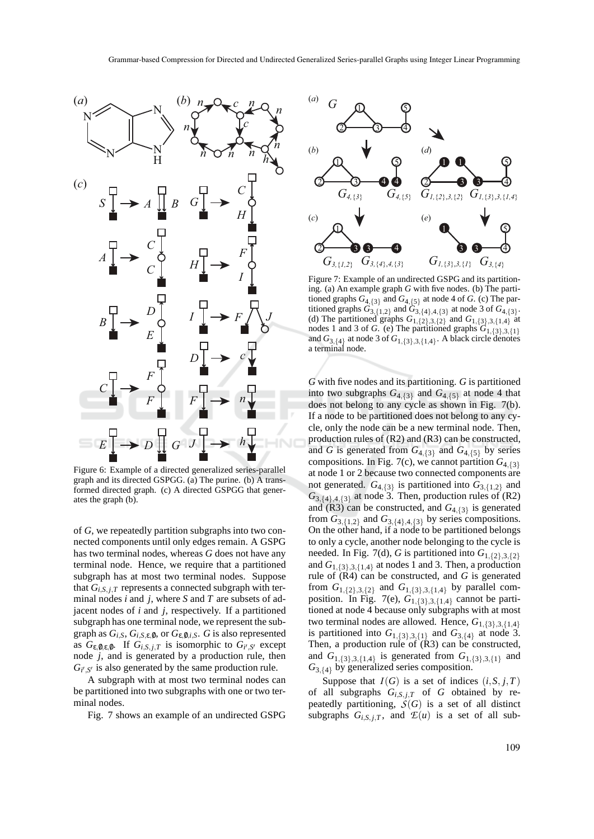

Figure 6: Example of a directed generalized series-parallel graph and its directed GSPGG. (a) The purine. (b) A transformed directed graph. (c) A directed GSPGG that generates the graph (b).

of *G*, we repeatedly partition subgraphs into two connected components until only edges remain. A GSPG has two terminal nodes, whereas *G* does not have any terminal node. Hence, we require that a partitioned subgraph has at most two terminal nodes. Suppose that  $G_{i,S,i,T}$  represents a connected subgraph with terminal nodes *i* and *j*, where *S* and *T* are subsets of adjacent nodes of *i* and *j*, respectively. If a partitioned subgraph has one terminal node, we represent the subgraph as  $G_{i,S}$ ,  $G_{i,S,\epsilon,0}$ , or  $G_{\epsilon,0,i,S}$ . *G* is also represented as  $G_{\varepsilon, \emptyset, \varepsilon, \emptyset}$ . If  $G_{i, S, j, T}$  is isomorphic to  $G_{i', S'}$  except node *j*, and is generated by a production rule, then  $G_{i',S'}$  is also generated by the same production rule.

A subgraph with at most two terminal nodes can be partitioned into two subgraphs with one or two terminal nodes.

Fig. 7 shows an example of an undirected GSPG



Figure 7: Example of an undirected GSPG and its partitioning. (a) An example graph *G* with five nodes. (b) The partitioned graphs  $G_{4,\{3\}}$  and  $G_{4,\{5\}}$  at node 4 of *G*. (c) The partitioned graphs  $G_{3,\{1,2\}}$  and  $G_{3,\{4\},4,\{3\}}$  at node 3 of  $G_{4,\{3\}}$ . (d) The partitioned graphs  $G_{1,\{2\},3,\{2\}}$  and  $G_{1,\{3\},3,\{1,4\}}$  at nodes 1 and 3 of *G*. (e) The partitioned graphs  $G_{1,\{3\},3,\{1\}}$ and  $G_{3,\{4\}}$  at node 3 of  $G_{1,\{3\},3,\{1,4\}}$ . A black circle denotes a terminal node.

*G* with five nodes and its partitioning. *G* is partitioned into two subgraphs  $G_{4, {3}}$  and  $G_{4, {5}}$  at node 4 that does not belong to any cycle as shown in Fig. 7(b). If a node to be partitioned does not belong to any cycle, only the node can be a new terminal node. Then, production rules of (R2) and (R3) can be constructed, and *G* is generated from  $G_{4,\{3\}}$  and  $G_{4,\{5\}}$  by series compositions. In Fig. 7(c), we cannot partition  $G_{4,3}$ at node 1 or 2 because two connected components are not generated.  $G_{4,\{3\}}$  is partitioned into  $G_{3,\{1,2\}}$  and  $G_{3,\{4\},4,\{3\}}$  at node 3. Then, production rules of (R2) and  $(R3)$  can be constructed, and  $G_{4,\{3\}}$  is generated from  $G_{3,\{1,2\}}$  and  $G_{3,\{4\},4,\{3\}}$  by series compositions. On the other hand, if a node to be partitioned belongs to only a cycle, another node belonging to the cycle is needed. In Fig. 7(d), *G* is partitioned into  $G_{1,\lbrace 2\rbrace,3,\lbrace 2\rbrace}$ and  $G_{1,\{3\},3,\{1,4\}}$  at nodes 1 and 3. Then, a production rule of  $(R4)$  can be constructed, and *G* is generated from  $G_{1,\{2\},3,\{2\}}$  and  $G_{1,\{3\},3,\{1,4\}}$  by parallel composition. In Fig. 7(e),  $G_{1,\{3\},3,\{1,4\}}$  cannot be partitioned at node 4 because only subgraphs with at most two terminal nodes are allowed. Hence,  $G_{1,\{3\},3,\{1,4\}}$ is partitioned into  $G_{1,\{3\},3,\{1\}}$  and  $G_{3,\{4\}}$  at node 3. Then, a production rule of (R3) can be constructed, and  $G_{1,\{3\},3,\{1,4\}}$  is generated from  $G_{1,\{3\},3,\{1\}}$  and *G*3,{4} by generalized series composition.

Suppose that  $I(G)$  is a set of indices  $(i, S, j, T)$ of all subgraphs  $G_{i,S,j,T}$  of  $G$  obtained by repeatedly partitioning,  $S(G)$  is a set of all distinct subgraphs  $G_{i,S,j,T}$ , and  $\mathcal{L}(u)$  is a set of all sub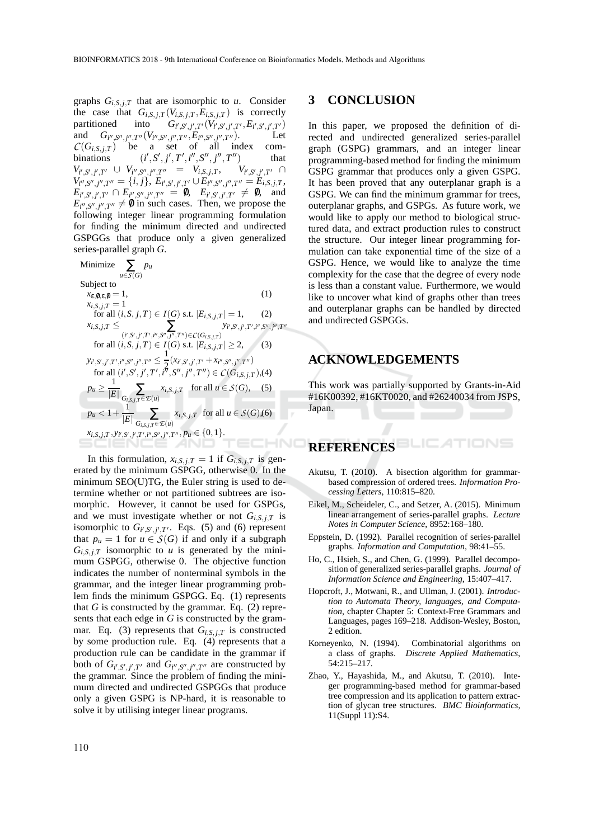graphs  $G_{i,S,j,T}$  that are isomorphic to *u*. Consider the case that  $G_{i,S,j,T}(V_{i,S,j,T}, E_{i,S,j,T})$  is correctly partitioned into  $G_{i',S',i',T'}(V_{i',S',i',T'}, E_{i',S',i',T'})$ partitioned into  $G_{i',S',j',T'}(V_{i',S',j',T'}, E_{i',S',j',T'})$ and  $G_{i'',S'',j'',T''}(V_{i'',S'',j'',T''},E_{i'',S'',j'',T''}).$  Let  $C(G_{i,S,j,T})$  be a set of all index com- $(i', S', j', T', i'', S'', j'', T'')$  that  $V_{i',S',j',T'} \cup V_{i'',S'',j'',T''} = V_{i,S,j,T}, V_{i',S',j',T''} \cap$  $V_{i'',S'',j'',T''} = \{i,j\},\ E_{i',S',j',T'} \cup E_{i'',S'',j'',T''} = E_{i,S,j,T},$  $E_{i',S',j',T'} \cap E_{i'',S'',j'',T''} = 0, E_{i',S',j',T'} \neq 0,$  and  $E_{i'',S'',j'',T''} \neq \emptyset$  in such cases. Then, we propose the following integer linear programming formulation for finding the minimum directed and undirected GSPGGs that produce only a given generalized series-parallel graph *G*.

Minimize  $\sum$ *pu <sup>u</sup>*∈*S*(*G*) Subject to  $x_{\varepsilon,0,\varepsilon,0}=1,$  (1)  $x_{i,S,j,T} = 1$  $f(x) = \inf (i, S, j, T) \in I(G) \text{ s.t. } |E_{i, S, j, T}| = 1,$  (2)  $x_{i,S,j,T} \leq \sum_{(i',S',j',T',i'',S'',j'',T'') \in C(G_{i,S,j,T})}$ *yi* ′ ,*S* ′ , *j* ′ ,*T* ′ ,*i* ′′ ,*S* ′′ , *j* ′′ ,*T* ′′ for all  $(i, S, j, T) \in I(G)$  s.t.  $|E_{i, S, j, T}| \ge 2$ , (3) 1  $y_{i',S',j',T',i'',S'',j'',T''} \leq$  $\frac{1}{2}(x_{i'}, s', j', T' + x_{i''}, s'', j'', T'')$ for all  $(i', S', j', T', i''', S'', j'', T'') \in C(G_{i,S,j,T}),$  (4)  $p_u \geq \frac{1}{|E|} \sum_{G_{i,S,j,T} \in \mathcal{E}(u)}$  $x_{i,S,j,T}$  for all  $u \in S(G)$ , (5)  $p_u < 1 + \frac{1}{|E|} \sum_{G_{i,S,j,T} \in E(u)}$  $x_{i,S,j,T}$  for all  $u \in S(G)$ ,(6)  $x_{i,S,j,T}, y_{i',S',j',T',i'',S'',j'',T''}, p_u \in \{0,1\}.$ TECHNO

In this formulation,  $x_{i,S,j,T} = 1$  if  $G_{i,S,j,T}$  is generated by the minimum GSPGG, otherwise 0. In the minimum SEO(U)TG, the Euler string is used to determine whether or not partitioned subtrees are isomorphic. However, it cannot be used for GSPGs, and we must investigate whether or not  $G_{i,S,i,T}$  is isomorphic to  $G_{i',S',j',T'}$ . Eqs. (5) and (6) represent that  $p_u = 1$  for  $u \in S(G)$  if and only if a subgraph  $G_{i,S,j,T}$  isomorphic to *u* is generated by the minimum GSPGG, otherwise 0. The objective function indicates the number of nonterminal symbols in the grammar, and the integer linear programming problem finds the minimum GSPGG. Eq. (1) represents that  $G$  is constructed by the grammar. Eq.  $(2)$  represents that each edge in *G* is constructed by the grammar. Eq. (3) represents that  $G_{i,S,i,T}$  is constructed by some production rule. Eq. (4) represents that a production rule can be candidate in the grammar if both of  $G_{i',S',j',T'}$  and  $G_{i'',S'',j'',T''}$  are constructed by the grammar. Since the problem of finding the minimum directed and undirected GSPGGs that produce only a given GSPG is NP-hard, it is reasonable to solve it by utilising integer linear programs.

### **3 CONCLUSION**

In this paper, we proposed the definition of directed and undirected generalized series-parallel graph (GSPG) grammars, and an integer linear programming-based method for finding the minimum GSPG grammar that produces only a given GSPG. It has been proved that any outerplanar graph is a GSPG. We can find the minimum grammar for trees, outerplanar graphs, and GSPGs. As future work, we would like to apply our method to biological structured data, and extract production rules to construct the structure. Our integer linear programming formulation can take exponential time of the size of a GSPG. Hence, we would like to analyze the time complexity for the case that the degree of every node is less than a constant value. Furthermore, we would like to uncover what kind of graphs other than trees and outerplanar graphs can be handled by directed and undirected GSPGGs.

### **ACKNOWLEDGEMENTS**

This work was partially supported by Grants-in-Aid #16K00392, #16KT0020, and #26240034 from JSPS, Japan.

## **REFERENCES**

- Akutsu, T. (2010). A bisection algorithm for grammarbased compression of ordered trees. *Information Processing Letters*, 110:815–820.
- Eikel, M., Scheideler, C., and Setzer, A. (2015). Minimum linear arrangement of series-parallel graphs. *Lecture Notes in Computer Science*, 8952:168–180.
- Eppstein, D. (1992). Parallel recognition of series-parallel graphs. *Information and Computation*, 98:41–55.
- Ho, C., Hsieh, S., and Chen, G. (1999). Parallel decomposition of generalized series-parallel graphs. *Journal of Information Science and Engineering*, 15:407–417.
- Hopcroft, J., Motwani, R., and Ullman, J. (2001). *Introduction to Automata Theory, languages, and Computation*, chapter Chapter 5: Context-Free Grammars and Languages, pages 169–218. Addison-Wesley, Boston, 2 edition.
- Korneyenko, N. (1994). Combinatorial algorithms on a class of graphs. *Discrete Applied Mathematics*, 54:215–217.
- Zhao, Y., Hayashida, M., and Akutsu, T. (2010). Integer programming-based method for grammar-based tree compression and its application to pattern extraction of glycan tree structures. *BMC Bioinformatics*, 11(Suppl 11):S4.